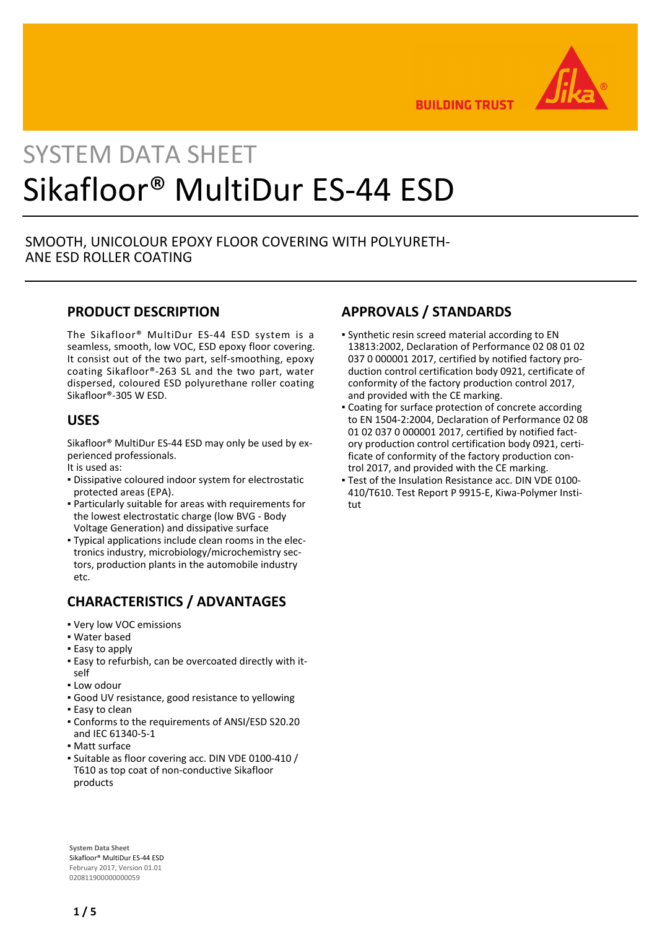

**BUILDING TRUST** 

# SYSTEM DATA SHEET Sikafloor® MultiDur ES-44 ESD

#### SMOOTH, UNICOLOUR EPOXY FLOOR COVERING WITH POLYURETH-ANE ESD ROLLER COATING

#### **PRODUCT DESCRIPTION**

The Sikafloor® MultiDur ES-44 ESD system is a seamless, smooth, low VOC, ESD epoxy floor covering. It consist out of the two part, self-smoothing, epoxy coating Sikafloor®-263 SL and the two part, water dispersed, coloured ESD polyurethane roller coating Sikafloor®-305 W ESD.

#### **USES**

Sikafloor® MultiDur ES-44 ESD may only be used by experienced professionals.

- It is used as:
- **Dissipative coloured indoor system for electrostatic** protected areas (EPA).
- Particularly suitable for areas with requirements for the lowest electrostatic charge (low BVG - Body Voltage Generation) and dissipative surface
- Typical applications include clean rooms in the elec-▪ tronics industry, microbiology/microchemistry sectors, production plants in the automobile industry etc.

#### **CHARACTERISTICS / ADVANTAGES**

- Very low VOC emissions
- Water based
- **Easy to apply**
- Easy to refurbish, can be overcoated directly with it-▪ self
- Low odour
- Good UV resistance, good resistance to yellowing
- **Easy to clean**
- Conforms to the requirements of ANSI/ESD S20.20 and IEC 61340-5-1
- Matt surface
- **Suitable as floor covering acc. DIN VDE 0100-410 /** T610 as top coat of non-conductive Sikafloor products

# **APPROVALS / STANDARDS**

- Synthetic resin screed material according to EN 13813:2002, Declaration of Performance 02 08 01 02 037 0 000001 2017, certified by notified factory production control certification body 0921, certificate of conformity of the factory production control 2017, and provided with the CE marking.
- Coating for surface protection of concrete according to EN 1504-2:2004, Declaration of Performance 02 08 01 02 037 0 000001 2017, certified by notified factory production control certification body 0921, certificate of conformity of the factory production control 2017, and provided with the CE marking.
- Test of the Insulation Resistance acc. DIN VDE 0100- 410/T610. Test Report P 9915-E, Kiwa-Polymer Institut

**System Data Sheet** Sikafloor® MultiDur ES-44 ESD February 2017, Version 01.01 020811900000000059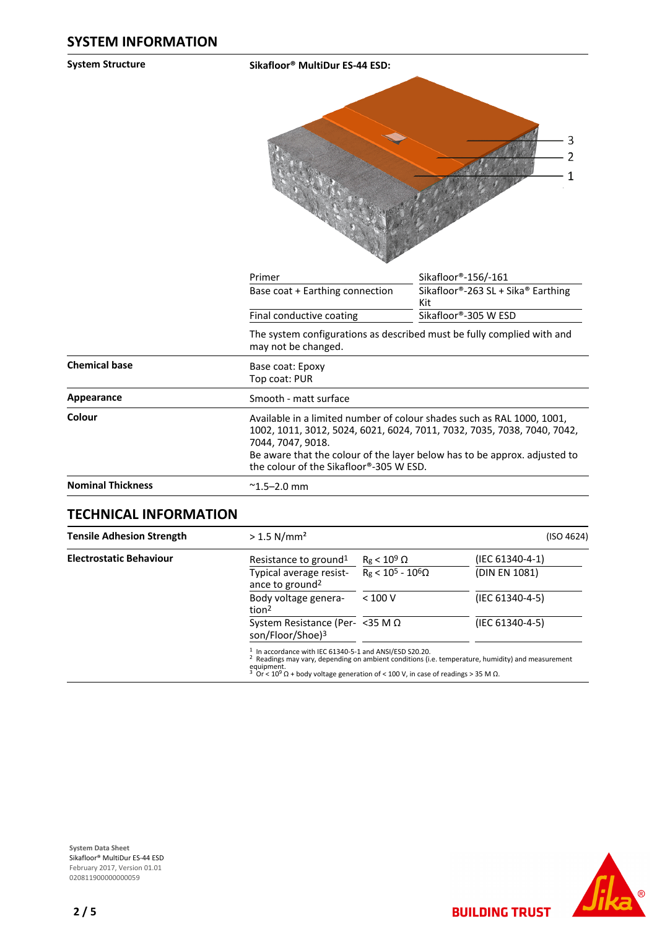**System Structure Sikafloor® MultiDur ES-44 ESD:**



|                          | Primer                                                                                        | Sikafloor®-156/-161                                                                                                                                                                                                                                                       |  |  |  |
|--------------------------|-----------------------------------------------------------------------------------------------|---------------------------------------------------------------------------------------------------------------------------------------------------------------------------------------------------------------------------------------------------------------------------|--|--|--|
|                          | Base coat + Earthing connection                                                               | Sikafloor®-263 SL + Sika® Earthing<br>Kit                                                                                                                                                                                                                                 |  |  |  |
|                          | Final conductive coating                                                                      | Sikafloor®-305 W ESD                                                                                                                                                                                                                                                      |  |  |  |
|                          | The system configurations as described must be fully complied with and<br>may not be changed. |                                                                                                                                                                                                                                                                           |  |  |  |
| <b>Chemical base</b>     | Base coat: Epoxy<br>Top coat: PUR                                                             |                                                                                                                                                                                                                                                                           |  |  |  |
| Appearance               | Smooth - matt surface                                                                         |                                                                                                                                                                                                                                                                           |  |  |  |
| Colour                   | 7044, 7047, 9018.                                                                             | Available in a limited number of colour shades such as RAL 1000, 1001,<br>1002, 1011, 3012, 5024, 6021, 6024, 7011, 7032, 7035, 7038, 7040, 7042,<br>Be aware that the colour of the layer below has to be approx. adjusted to<br>the colour of the Sikafloor®-305 W ESD. |  |  |  |
| <b>Nominal Thickness</b> | $^{\sim}$ 1.5–2.0 mm                                                                          |                                                                                                                                                                                                                                                                           |  |  |  |

#### **TECHNICAL INFORMATION**

| <b>Tensile Adhesion Strength</b> | $> 1.5$ N/mm <sup>2</sup>                                                                                                                                                                                                                                                                 |                            | (ISO 4624)      |  |  |
|----------------------------------|-------------------------------------------------------------------------------------------------------------------------------------------------------------------------------------------------------------------------------------------------------------------------------------------|----------------------------|-----------------|--|--|
| <b>Electrostatic Behaviour</b>   | Resistance to ground <sup>1</sup>                                                                                                                                                                                                                                                         | $R_g < 10^9 \Omega$        | (IEC 61340-4-1) |  |  |
|                                  | Typical average resist-<br>ance to ground <sup>2</sup>                                                                                                                                                                                                                                    | $R_g < 10^5 - 10^6 \Omega$ | (DIN EN 1081)   |  |  |
|                                  | Body voltage genera-<br>tion <sup>2</sup>                                                                                                                                                                                                                                                 | < 100 V                    | (IEC 61340-4-5) |  |  |
|                                  | System Resistance (Per- <35 M $\Omega$<br>son/Floor/Shoe) <sup>3</sup>                                                                                                                                                                                                                    |                            | (IEC 61340-4-5) |  |  |
|                                  | $1$ In accordance with IEC 61340-5-1 and ANSI/ESD S20.20.<br><sup>2</sup> Readings may vary, depending on ambient conditions (i.e. temperature, humidity) and measurement<br>equipment.<br>$3$ Or < 10 <sup>9</sup> Ω + body voltage generation of < 100 V, in case of readings > 35 M Ω. |                            |                 |  |  |



**BUILDING TRUST**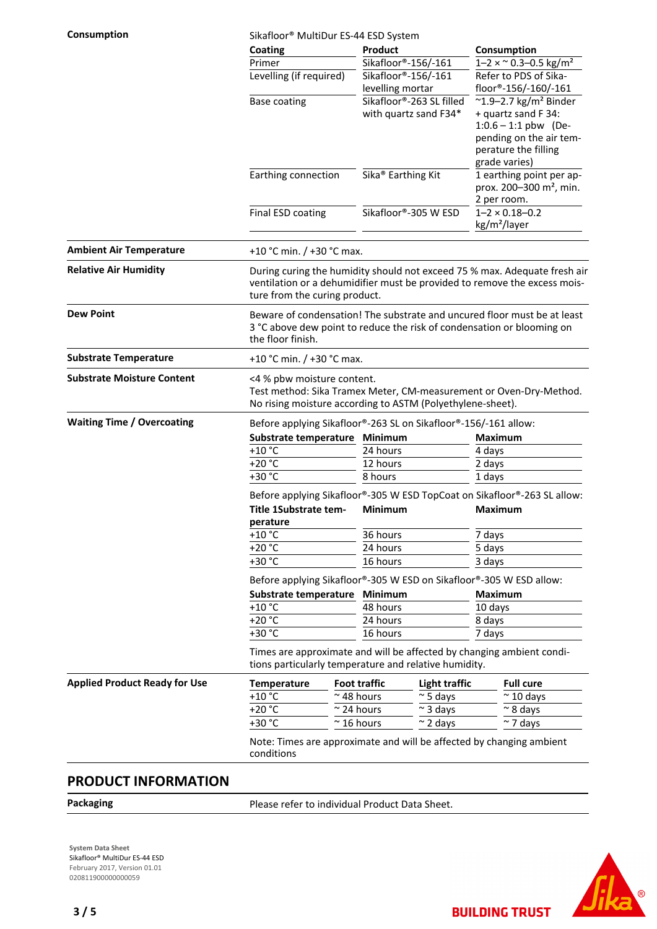**Consumption** Sikafloor® MultiDur ES-44 ESD System

|                                      | Coating                                                                                                                                                                                 |                                                                     | Product                                           |                                                                |                                                                                                                                                                 | Consumption                                                              |  |
|--------------------------------------|-----------------------------------------------------------------------------------------------------------------------------------------------------------------------------------------|---------------------------------------------------------------------|---------------------------------------------------|----------------------------------------------------------------|-----------------------------------------------------------------------------------------------------------------------------------------------------------------|--------------------------------------------------------------------------|--|
|                                      |                                                                                                                                                                                         | Primer<br>Levelling (if required)                                   |                                                   | Sikafloor®-156/-161<br>Sikafloor®-156/-161<br>levelling mortar |                                                                                                                                                                 | $1 - 2 \times \degree 0.3 - 0.5$ kg/m <sup>2</sup>                       |  |
|                                      |                                                                                                                                                                                         |                                                                     |                                                   |                                                                |                                                                                                                                                                 | Refer to PDS of Sika-<br>floor®-156/-160/-161                            |  |
|                                      | <b>Base coating</b>                                                                                                                                                                     |                                                                     | Sikafloor®-263 SL filled<br>with quartz sand F34* |                                                                | $^{\sim}$ 1.9-2.7 kg/m <sup>2</sup> Binder<br>+ quartz sand F 34:<br>$1:0.6 - 1:1$ pbw (De-<br>pending on the air tem-<br>perature the filling<br>grade varies) |                                                                          |  |
|                                      | Earthing connection                                                                                                                                                                     |                                                                     | Sika <sup>®</sup> Earthing Kit                    |                                                                | 2 per room.                                                                                                                                                     | 1 earthing point per ap-<br>prox. 200-300 m <sup>2</sup> , min.          |  |
|                                      | Final ESD coating                                                                                                                                                                       |                                                                     | Sikafloor®-305 W ESD                              |                                                                | kg/m <sup>2</sup> /layer                                                                                                                                        | $1 - 2 \times 0.18 - 0.2$                                                |  |
| <b>Ambient Air Temperature</b>       | +10 °C min. / +30 °C max.                                                                                                                                                               |                                                                     |                                                   |                                                                |                                                                                                                                                                 |                                                                          |  |
| <b>Relative Air Humidity</b>         | During curing the humidity should not exceed 75 % max. Adequate fresh air<br>ventilation or a dehumidifier must be provided to remove the excess mois-<br>ture from the curing product. |                                                                     |                                                   |                                                                |                                                                                                                                                                 |                                                                          |  |
| <b>Dew Point</b>                     | Beware of condensation! The substrate and uncured floor must be at least<br>3 °C above dew point to reduce the risk of condensation or blooming on<br>the floor finish.                 |                                                                     |                                                   |                                                                |                                                                                                                                                                 |                                                                          |  |
| <b>Substrate Temperature</b>         | +10 °C min. / +30 °C max.                                                                                                                                                               |                                                                     |                                                   |                                                                |                                                                                                                                                                 |                                                                          |  |
| <b>Substrate Moisture Content</b>    | <4 % pbw moisture content.<br>Test method: Sika Tramex Meter, CM-measurement or Oven-Dry-Method.<br>No rising moisture according to ASTM (Polyethylene-sheet).                          |                                                                     |                                                   |                                                                |                                                                                                                                                                 |                                                                          |  |
| <b>Waiting Time / Overcoating</b>    | Before applying Sikafloor®-263 SL on Sikafloor®-156/-161 allow:                                                                                                                         |                                                                     |                                                   |                                                                |                                                                                                                                                                 |                                                                          |  |
|                                      | Substrate temperature Minimum                                                                                                                                                           |                                                                     |                                                   |                                                                | <b>Maximum</b>                                                                                                                                                  |                                                                          |  |
|                                      | $+10$ °C                                                                                                                                                                                | 24 hours                                                            |                                                   | 4 days                                                         |                                                                                                                                                                 |                                                                          |  |
|                                      | $+20 °C$                                                                                                                                                                                |                                                                     | 12 hours<br>8 hours                               |                                                                | 2 days                                                                                                                                                          |                                                                          |  |
|                                      | +30 °C                                                                                                                                                                                  |                                                                     |                                                   |                                                                | 1 days                                                                                                                                                          |                                                                          |  |
|                                      |                                                                                                                                                                                         |                                                                     |                                                   |                                                                |                                                                                                                                                                 | Before applying Sikafloor®-305 W ESD TopCoat on Sikafloor®-263 SL allow: |  |
|                                      | Title 1Substrate tem-<br>perature                                                                                                                                                       |                                                                     | Minimum                                           |                                                                | <b>Maximum</b>                                                                                                                                                  |                                                                          |  |
|                                      | $+10 °C$                                                                                                                                                                                |                                                                     |                                                   | 36 hours                                                       |                                                                                                                                                                 | 7 days                                                                   |  |
| $+20 °C$<br>24 hours<br>+30 °C       |                                                                                                                                                                                         |                                                                     | 5 days                                            |                                                                |                                                                                                                                                                 |                                                                          |  |
|                                      |                                                                                                                                                                                         | 16 hours                                                            |                                                   | 3 days                                                         |                                                                                                                                                                 |                                                                          |  |
|                                      |                                                                                                                                                                                         | Before applying Sikafloor®-305 W ESD on Sikafloor®-305 W ESD allow: |                                                   |                                                                |                                                                                                                                                                 |                                                                          |  |
|                                      |                                                                                                                                                                                         | Substrate temperature                                               |                                                   | Minimum                                                        |                                                                                                                                                                 | <b>Maximum</b>                                                           |  |
|                                      |                                                                                                                                                                                         | $+10$ °C                                                            |                                                   | 48 hours                                                       |                                                                                                                                                                 | 10 days                                                                  |  |
|                                      |                                                                                                                                                                                         | $+20 °C$                                                            |                                                   | 24 hours                                                       |                                                                                                                                                                 | 8 days                                                                   |  |
|                                      |                                                                                                                                                                                         | +30 °C<br>16 hours                                                  |                                                   | 7 days                                                         |                                                                                                                                                                 |                                                                          |  |
|                                      | Times are approximate and will be affected by changing ambient condi-<br>tions particularly temperature and relative humidity.                                                          |                                                                     |                                                   |                                                                |                                                                                                                                                                 |                                                                          |  |
| <b>Applied Product Ready for Use</b> | <b>Temperature</b>                                                                                                                                                                      |                                                                     | <b>Foot traffic</b>                               | <b>Light traffic</b>                                           |                                                                                                                                                                 | <b>Full cure</b>                                                         |  |
|                                      | +10 $^{\circ}$ C                                                                                                                                                                        |                                                                     | $\sim$ 48 hours                                   | $\approx$ 5 days                                               |                                                                                                                                                                 | $\approx$ 10 days                                                        |  |
|                                      | $+20 °C$                                                                                                                                                                                |                                                                     | $\sim$ 24 hours                                   | $\sim$ 3 days                                                  |                                                                                                                                                                 | $\sim$ 8 days                                                            |  |
|                                      |                                                                                                                                                                                         | +30 °C<br>$\sim$ 16 hours                                           |                                                   | $\sim$ 2 days                                                  |                                                                                                                                                                 | $\sim$ 7 days                                                            |  |
|                                      | Note: Times are approximate and will be affected by changing ambient<br>conditions                                                                                                      |                                                                     |                                                   |                                                                |                                                                                                                                                                 |                                                                          |  |

#### **PRODUCT INFORMATION**

Packaging **Packaging Packaging Please refer to individual Product Data Sheet.** 

**System Data Sheet** Sikafloor® MultiDur ES-44 ESD February 2017, Version 01.01 020811900000000059



**BUILDING TRUST**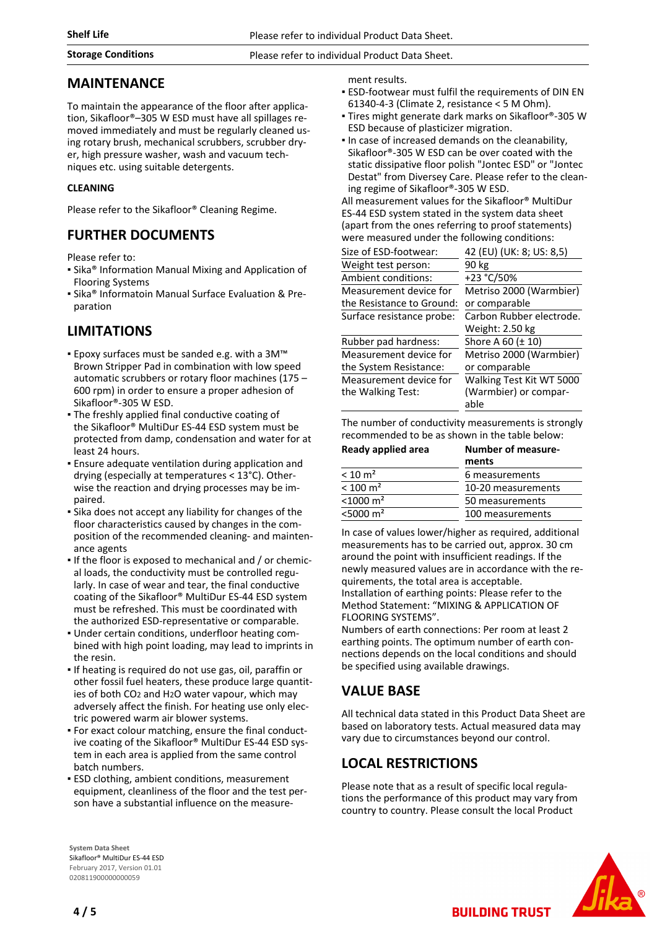#### **Storage Conditions** Please refer to individual Product Data Sheet.

#### **MAINTENANCE**

To maintain the appearance of the floor after application, Sikafloor®–305 W ESD must have all spillages removed immediately and must be regularly cleaned using rotary brush, mechanical scrubbers, scrubber dryer, high pressure washer, wash and vacuum techniques etc. using suitable detergents.

#### **CLEANING**

Please refer to the Sikafloor® Cleaning Regime.

#### **FURTHER DOCUMENTS**

Please refer to:

- Sika® Information Manual Mixing and Application of Flooring Systems
- **E** Sika® Informatoin Manual Surface Evaluation & Preparation

# **LIMITATIONS**

- Epoxy surfaces must be sanded e.g. with a 3M™ Brown Stripper Pad in combination with low speed automatic scrubbers or rotary floor machines (175 – 600 rpm) in order to ensure a proper adhesion of Sikafloor®-305 W ESD.
- **The freshly applied final conductive coating of** the Sikafloor® MultiDur ES-44 ESD system must be protected from damp, condensation and water for at least 24 hours.
- **Ensure adequate ventilation during application and** drying (especially at temperatures < 13°C). Otherwise the reaction and drying processes may be impaired.
- Sika does not accept any liability for changes of the floor characteristics caused by changes in the composition of the recommended cleaning- and maintenance agents
- If the floor is exposed to mechanical and / or chemical loads, the conductivity must be controlled regularly. In case of wear and tear, the final conductive coating of the Sikafloor® MultiDur ES-44 ESD system must be refreshed. This must be coordinated with the authorized ESD-representative or comparable.
- Under certain conditions, underfloor heating com-▪ bined with high point loading, may lead to imprints in the resin.
- If heating is required do not use gas, oil, paraffin or other fossil fuel heaters, these produce large quantities of both CO2 and H2O water vapour, which may adversely affect the finish. For heating use only electric powered warm air blower systems.
- For exact colour matching, ensure the final conduct-▪ ive coating of the Sikafloor® MultiDur ES-44 ESD system in each area is applied from the same control batch numbers.
- **ESD clothing, ambient conditions, measurement** equipment, cleanliness of the floor and the test person have a substantial influence on the measure-

ment results.

- **ESD-footwear must fulfil the requirements of DIN EN** 61340-4-3 (Climate 2, resistance < 5 M Ohm).
- Tires might generate dark marks on Sikafloor®-305 W ESD because of plasticizer migration.
- In case of increased demands on the cleanability, Sikafloor®-305 W ESD can be over coated with the static dissipative floor polish "Jontec ESD" or "Jontec Destat" from Diversey Care. Please refer to the cleaning regime of Sikafloor®-305 W ESD.

All measurement values for the Sikafloor® MultiDur ES-44 ESD system stated in the system data sheet (apart from the ones referring to proof statements) were measured under the following conditions:

| Size of ESD-footwear:     | 42 (EU) (UK: 8; US: 8,5) |
|---------------------------|--------------------------|
| Weight test person:       | 90 kg                    |
| Ambient conditions:       | +23 °C/50%               |
| Measurement device for    | Metriso 2000 (Warmbier)  |
| the Resistance to Ground: | or comparable            |
| Surface resistance probe: | Carbon Rubber electrode. |
|                           | Weight: 2.50 kg          |
| Rubber pad hardness:      | Shore A 60 (± 10)        |
| Measurement device for    | Metriso 2000 (Warmbier)  |
| the System Resistance:    | or comparable            |
| Measurement device for    | Walking Test Kit WT 5000 |
| the Walking Test:         | (Warmbier) or compar-    |
|                           | able                     |
|                           |                          |

The number of conductivity measurements is strongly recommended to be as shown in the table below:

| Ready applied area      | <b>Number of measure-</b><br>ments |
|-------------------------|------------------------------------|
| $< 10 \text{ m}^2$      | 6 measurements                     |
| $< 100 \text{ m}^2$     | 10-20 measurements                 |
| $< 1000 \text{ m}^2$    | 50 measurements                    |
| $<$ 5000 m <sup>2</sup> | 100 measurements                   |

In case of values lower/higher as required, additional measurements has to be carried out, approx. 30 cm around the point with insufficient readings. If the newly measured values are in accordance with the requirements, the total area is acceptable. Installation of earthing points: Please refer to the Method Statement: "MIXING & APPLICATION OF FLOORING SYSTEMS".

Numbers of earth connections: Per room at least 2 earthing points. The optimum number of earth connections depends on the local conditions and should be specified using available drawings.

# **VALUE BASE**

All technical data stated in this Product Data Sheet are based on laboratory tests. Actual measured data may vary due to circumstances beyond our control.

# **LOCAL RESTRICTIONS**

Please note that as a result of specific local regulations the performance of this product may vary from country to country. Please consult the local Product

**BUILDING TRUST** 



**System Data Sheet** Sikafloor® MultiDur ES-44 ESD February 2017, Version 01.01 020811900000000059